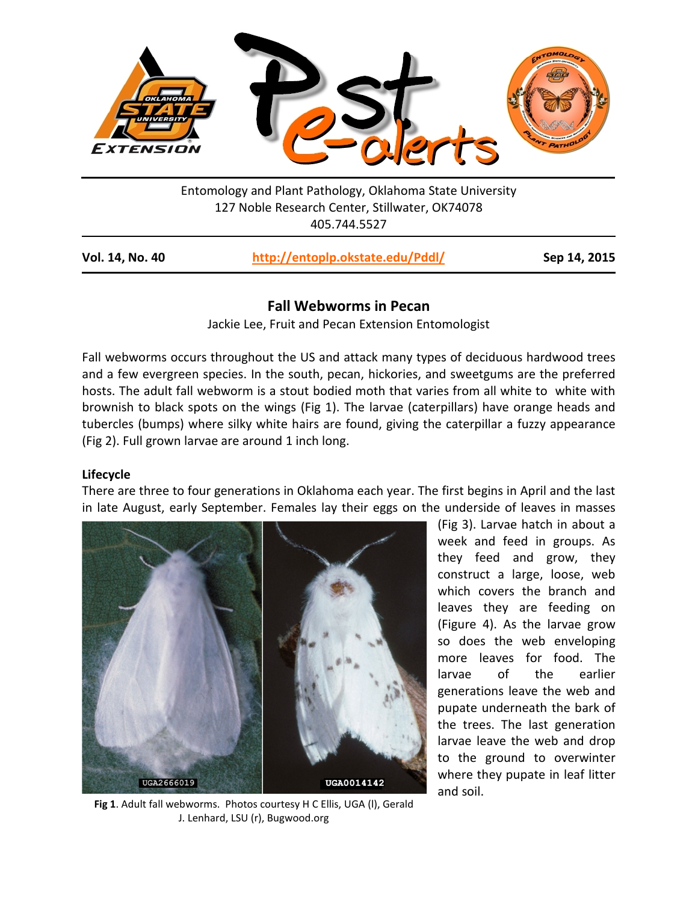

Entomology and Plant Pathology, Oklahoma State University 127 Noble Research Center, Stillwater, OK74078 405.744.5527

| http://entoplp.okstate.edu/Pddl/<br>Vol. 14, No. 40 | Sep 14, 2015 |
|-----------------------------------------------------|--------------|
|-----------------------------------------------------|--------------|

# **Fall Webworms in Pecan**

Jackie Lee, Fruit and Pecan Extension Entomologist

Fall webworms occurs throughout the US and attack many types of deciduous hardwood trees and a few evergreen species. In the south, pecan, hickories, and sweetgums are the preferred hosts. The adult fall webworm is a stout bodied moth that varies from all white to white with brownish to black spots on the wings (Fig 1). The larvae (caterpillars) have orange heads and tubercles (bumps) where silky white hairs are found, giving the caterpillar a fuzzy appearance (Fig 2). Full grown larvae are around 1 inch long.

## **Lifecycle**

There are three to four generations in Oklahoma each year. The first begins in April and the last in late August, early September. Females lay their eggs on the underside of leaves in masses



**Fig 1**. Adult fall webworms. Photos courtesy H C Ellis, UGA (l), Gerald J. Lenhard, LSU (r), Bugwood.org

(Fig 3). Larvae hatch in about a week and feed in groups. As they feed and grow, they construct a large, loose, web which covers the branch and leaves they are feeding on (Figure 4). As the larvae grow so does the web enveloping more leaves for food. The larvae of the earlier generations leave the web and pupate underneath the bark of the trees. The last generation larvae leave the web and drop to the ground to overwinter where they pupate in leaf litter and soil.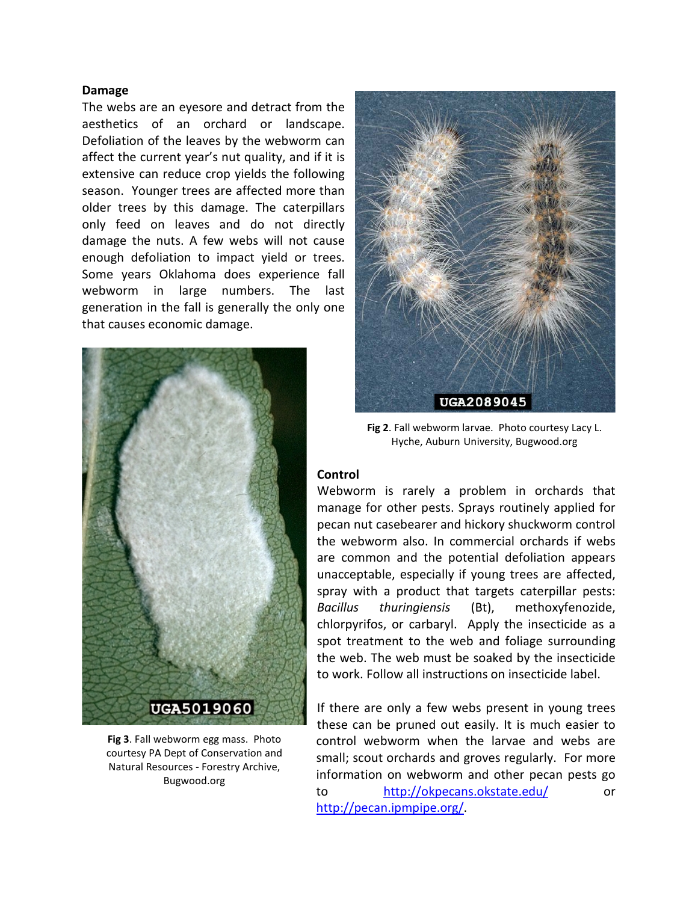#### **Damage**

The webs are an eyesore and detract from the aesthetics of an orchard or landscape. Defoliation of the leaves by the webworm can affect the current year's nut quality, and if it is extensive can reduce crop yields the following season. Younger trees are affected more than older trees by this damage. The caterpillars only feed on leaves and do not directly damage the nuts. A few webs will not cause enough defoliation to impact yield or trees. Some years Oklahoma does experience fall webworm in large numbers. The last generation in the fall is generally the only one that causes economic damage.



**Fig 3**. Fall webworm egg mass. Photo courtesy PA Dept of Conservation and Natural Resources - Forestry Archive, Bugwood.org



**Fig 2**. Fall webworm larvae. Photo courtesy Lacy L. Hyche, Auburn University, Bugwood.org

#### **Control**

Webworm is rarely a problem in orchards that manage for other pests. Sprays routinely applied for pecan nut casebearer and hickory shuckworm control the webworm also. In commercial orchards if webs are common and the potential defoliation appears unacceptable, especially if young trees are affected, spray with a product that targets caterpillar pests: *Bacillus thuringiensis* (Bt), methoxyfenozide, chlorpyrifos, or carbaryl. Apply the insecticide as a spot treatment to the web and foliage surrounding the web. The web must be soaked by the insecticide to work. Follow all instructions on insecticide label.

If there are only a few webs present in young trees these can be pruned out easily. It is much easier to control webworm when the larvae and webs are small; scout orchards and groves regularly. For more information on webworm and other pecan pests go to <http://okpecans.okstate.edu/> or [http://pecan.ipmpipe.org/.](http://pecan.ipmpipe.org/)